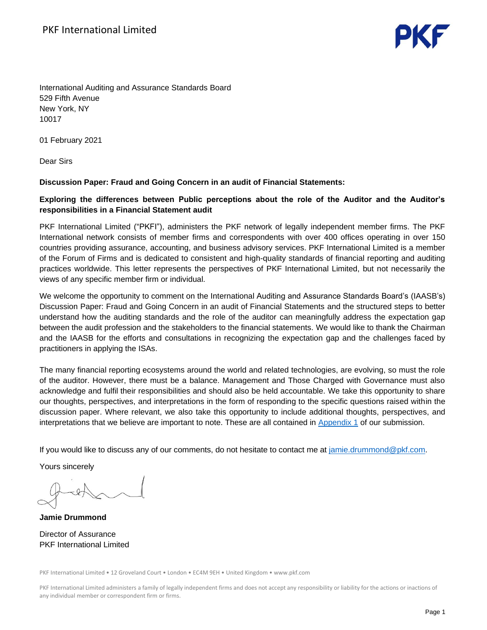

International Auditing and Assurance Standards Board 529 Fifth Avenue New York, NY 10017

01 February 2021

Dear Sirs

#### **Discussion Paper: Fraud and Going Concern in an audit of Financial Statements:**

# **Exploring the differences between Public perceptions about the role of the Auditor and the Auditor's responsibilities in a Financial Statement audit**

PKF International Limited ("PKFI"), administers the PKF network of legally independent member firms. The PKF International network consists of member firms and correspondents with over 400 offices operating in over 150 countries providing assurance, accounting, and business advisory services. PKF International Limited is a member of the Forum of Firms and is dedicated to consistent and high-quality standards of financial reporting and auditing practices worldwide. This letter represents the perspectives of PKF International Limited, but not necessarily the views of any specific member firm or individual.

We welcome the opportunity to comment on the International Auditing and Assurance Standards Board's (IAASB's) Discussion Paper: Fraud and Going Concern in an audit of Financial Statements and the structured steps to better understand how the auditing standards and the role of the auditor can meaningfully address the expectation gap between the audit profession and the stakeholders to the financial statements. We would like to thank the Chairman and the IAASB for the efforts and consultations in recognizing the expectation gap and the challenges faced by practitioners in applying the ISAs.

The many financial reporting ecosystems around the world and related technologies, are evolving, so must the role of the auditor. However, there must be a balance. Management and Those Charged with Governance must also acknowledge and fulfil their responsibilities and should also be held accountable. We take this opportunity to share our thoughts, perspectives, and interpretations in the form of responding to the specific questions raised within the discussion paper. Where relevant, we also take this opportunity to include additional thoughts, perspectives, and interpretations that we believe are important to note. These are all contained in [Appendix 1](#page-1-0) of our submission.

If you would like to discuss any of our comments, do not hesitate to contact me at [jamie.drummond@pkf.com.](mailto:jamie.drummond@pkf.com)

Yours sincerely

**Jamie Drummond** Director of Assurance PKF International Limited

PKF International Limited • 12 Groveland Court • London • EC4M 9EH • United Kingdom • www.pkf.com

PKF International Limited administers a family of legally independent firms and does not accept any responsibility or liability for the actions or inactions of any individual member or correspondent firm or firms.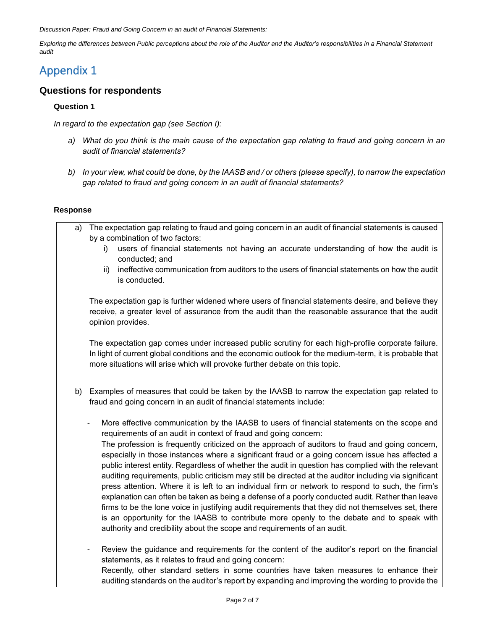*Discussion Paper: Fraud and Going Concern in an audit of Financial Statements:*

*Exploring the differences between Public perceptions about the role of the Auditor and the Auditor's responsibilities in a Financial Statement audit*

# <span id="page-1-0"></span>Appendix 1

# **Questions for respondents**

# **Question 1**

*In regard to the expectation gap (see Section I):*

- *a) What do you think is the main cause of the expectation gap relating to fraud and going concern in an audit of financial statements?*
- *b) In your view, what could be done, by the IAASB and / or others (please specify), to narrow the expectation gap related to fraud and going concern in an audit of financial statements?*

# **Response**

- a) The expectation gap relating to fraud and going concern in an audit of financial statements is caused by a combination of two factors:
	- i) users of financial statements not having an accurate understanding of how the audit is conducted; and
	- ii) ineffective communication from auditors to the users of financial statements on how the audit is conducted.

The expectation gap is further widened where users of financial statements desire, and believe they receive, a greater level of assurance from the audit than the reasonable assurance that the audit opinion provides.

The expectation gap comes under increased public scrutiny for each high-profile corporate failure. In light of current global conditions and the economic outlook for the medium-term, it is probable that more situations will arise which will provoke further debate on this topic.

- b) Examples of measures that could be taken by the IAASB to narrow the expectation gap related to fraud and going concern in an audit of financial statements include:
	- More effective communication by the IAASB to users of financial statements on the scope and requirements of an audit in context of fraud and going concern: The profession is frequently criticized on the approach of auditors to fraud and going concern, especially in those instances where a significant fraud or a going concern issue has affected a public interest entity. Regardless of whether the audit in question has complied with the relevant auditing requirements, public criticism may still be directed at the auditor including via significant press attention. Where it is left to an individual firm or network to respond to such, the firm's explanation can often be taken as being a defense of a poorly conducted audit. Rather than leave firms to be the lone voice in justifying audit requirements that they did not themselves set, there is an opportunity for the IAASB to contribute more openly to the debate and to speak with authority and credibility about the scope and requirements of an audit.
	- Review the guidance and requirements for the content of the auditor's report on the financial statements, as it relates to fraud and going concern: Recently, other standard setters in some countries have taken measures to enhance their auditing standards on the auditor's report by expanding and improving the wording to provide the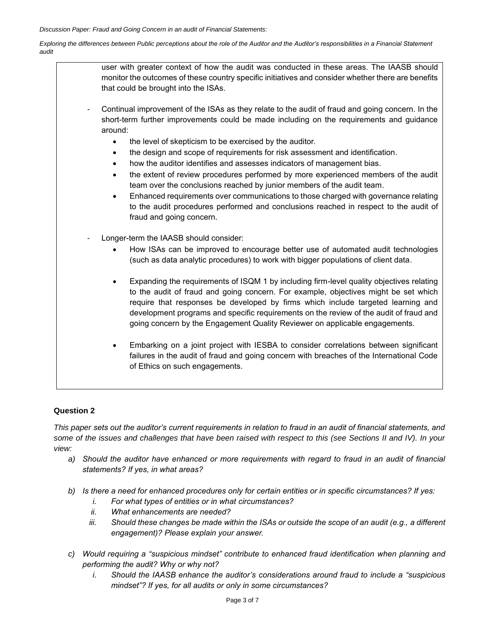*Exploring the differences between Public perceptions about the role of the Auditor and the Auditor's responsibilities in a Financial Statement audit*

> user with greater context of how the audit was conducted in these areas. The IAASB should monitor the outcomes of these country specific initiatives and consider whether there are benefits that could be brought into the ISAs.

- Continual improvement of the ISAs as they relate to the audit of fraud and going concern. In the short-term further improvements could be made including on the requirements and guidance around:
	- the level of skepticism to be exercised by the auditor.
	- the design and scope of requirements for risk assessment and identification.
	- how the auditor identifies and assesses indicators of management bias.
	- the extent of review procedures performed by more experienced members of the audit team over the conclusions reached by junior members of the audit team.
	- Enhanced requirements over communications to those charged with governance relating to the audit procedures performed and conclusions reached in respect to the audit of fraud and going concern.
- Longer-term the IAASB should consider:
	- How ISAs can be improved to encourage better use of automated audit technologies (such as data analytic procedures) to work with bigger populations of client data.
	- Expanding the requirements of ISQM 1 by including firm-level quality objectives relating to the audit of fraud and going concern. For example, objectives might be set which require that responses be developed by firms which include targeted learning and development programs and specific requirements on the review of the audit of fraud and going concern by the Engagement Quality Reviewer on applicable engagements.
	- Embarking on a joint project with IESBA to consider correlations between significant failures in the audit of fraud and going concern with breaches of the International Code of Ethics on such engagements.

#### **Question 2**

*This paper sets out the auditor's current requirements in relation to fraud in an audit of financial statements, and some of the issues and challenges that have been raised with respect to this (see Sections II and IV). In your view:*

- *a) Should the auditor have enhanced or more requirements with regard to fraud in an audit of financial statements? If yes, in what areas?*
- *b) Is there a need for enhanced procedures only for certain entities or in specific circumstances? If yes:*
	- *i. For what types of entities or in what circumstances?*
	- *ii. What enhancements are needed?*
	- *iii. Should these changes be made within the ISAs or outside the scope of an audit (e.g., a different engagement)? Please explain your answer.*
- *c) Would requiring a "suspicious mindset" contribute to enhanced fraud identification when planning and performing the audit? Why or why not?*
	- *i. Should the IAASB enhance the auditor's considerations around fraud to include a "suspicious mindset"? If yes, for all audits or only in some circumstances?*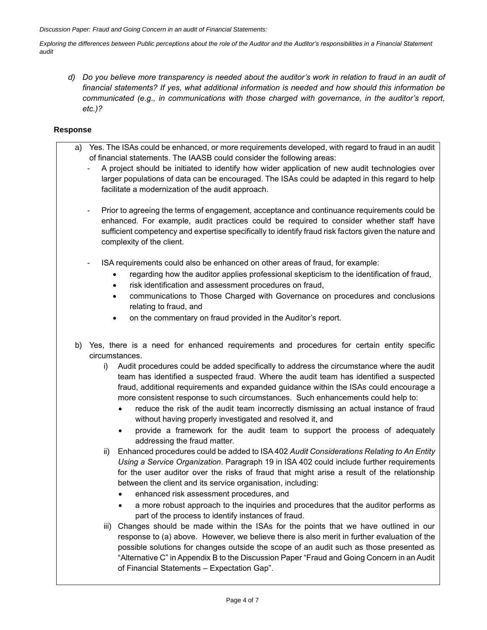*Exploring the differences between Public perceptions about the role of the Auditor and the Auditor's responsibilities in a Financial Statement audit*

*d) Do you believe more transparency is needed about the auditor's work in relation to fraud in an audit of financial statements? If yes, what additional information is needed and how should this information be communicated (e.g., in communications with those charged with governance, in the auditor's report, etc.)?*

#### **Response**

- a) Yes. The ISAs could be enhanced, or more requirements developed, with regard to fraud in an audit of financial statements. The IAASB could consider the following areas:
	- A project should be initiated to identify how wider application of new audit technologies over larger populations of data can be encouraged. The ISAs could be adapted in this regard to help facilitate a modernization of the audit approach.
	- Prior to agreeing the terms of engagement, acceptance and continuance requirements could be enhanced. For example, audit practices could be required to consider whether staff have sufficient competency and expertise specifically to identify fraud risk factors given the nature and complexity of the client.
	- ISA requirements could also be enhanced on other areas of fraud, for example:
		- regarding how the auditor applies professional skepticism to the identification of fraud,
		- risk identification and assessment procedures on fraud,
		- communications to Those Charged with Governance on procedures and conclusions relating to fraud, and
		- on the commentary on fraud provided in the Auditor's report.
- b) Yes, there is a need for enhanced requirements and procedures for certain entity specific circumstances.
	- i) Audit procedures could be added specifically to address the circumstance where the audit team has identified a suspected fraud. Where the audit team has identified a suspected fraud, additional requirements and expanded guidance within the ISAs could encourage a more consistent response to such circumstances. Such enhancements could help to:
		- reduce the risk of the audit team incorrectly dismissing an actual instance of fraud without having properly investigated and resolved it, and
		- provide a framework for the audit team to support the process of adequately addressing the fraud matter.
	- ii) Enhanced procedures could be added to ISA 402 *Audit Considerations Relating to An Entity Using a Service Organization*. Paragraph 19 in ISA 402 could include further requirements for the user auditor over the risks of fraud that might arise a result of the relationship between the client and its service organisation, including:
		- enhanced risk assessment procedures, and
		- a more robust approach to the inquiries and procedures that the auditor performs as part of the process to identify instances of fraud.
	- iii) Changes should be made within the ISAs for the points that we have outlined in our response to (a) above. However, we believe there is also merit in further evaluation of the possible solutions for changes outside the scope of an audit such as those presented as "Alternative C" in Appendix B to the Discussion Paper "Fraud and Going Concern in an Audit of Financial Statements – Expectation Gap".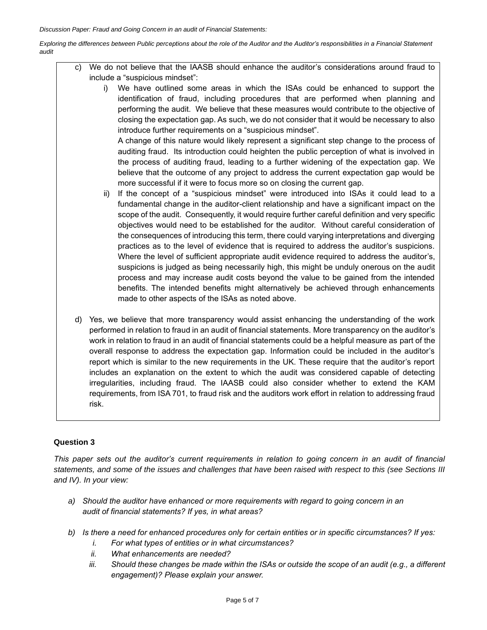*Exploring the differences between Public perceptions about the role of the Auditor and the Auditor's responsibilities in a Financial Statement audit*

- c) We do not believe that the IAASB should enhance the auditor's considerations around fraud to include a "suspicious mindset":
	- i) We have outlined some areas in which the ISAs could be enhanced to support the identification of fraud, including procedures that are performed when planning and performing the audit. We believe that these measures would contribute to the objective of closing the expectation gap. As such, we do not consider that it would be necessary to also introduce further requirements on a "suspicious mindset".

A change of this nature would likely represent a significant step change to the process of auditing fraud. Its introduction could heighten the public perception of what is involved in the process of auditing fraud, leading to a further widening of the expectation gap. We believe that the outcome of any project to address the current expectation gap would be more successful if it were to focus more so on closing the current gap.

- ii) If the concept of a "suspicious mindset" were introduced into ISAs it could lead to a fundamental change in the auditor-client relationship and have a significant impact on the scope of the audit. Consequently, it would require further careful definition and very specific objectives would need to be established for the auditor. Without careful consideration of the consequences of introducing this term, there could varying interpretations and diverging practices as to the level of evidence that is required to address the auditor's suspicions. Where the level of sufficient appropriate audit evidence required to address the auditor's, suspicions is judged as being necessarily high, this might be unduly onerous on the audit process and may increase audit costs beyond the value to be gained from the intended benefits. The intended benefits might alternatively be achieved through enhancements made to other aspects of the ISAs as noted above.
- d) Yes, we believe that more transparency would assist enhancing the understanding of the work performed in relation to fraud in an audit of financial statements. More transparency on the auditor's work in relation to fraud in an audit of financial statements could be a helpful measure as part of the overall response to address the expectation gap. Information could be included in the auditor's report which is similar to the new requirements in the UK. These require that the auditor's report includes an explanation on the extent to which the audit was considered capable of detecting irregularities, including fraud. The IAASB could also consider whether to extend the KAM requirements, from ISA 701, to fraud risk and the auditors work effort in relation to addressing fraud risk.

### **Question 3**

*This paper sets out the auditor's current requirements in relation to going concern in an audit of financial statements, and some of the issues and challenges that have been raised with respect to this (see Sections III and IV). In your view:*

- *a) Should the auditor have enhanced or more requirements with regard to going concern in an audit of financial statements? If yes, in what areas?*
- *b) Is there a need for enhanced procedures only for certain entities or in specific circumstances? If yes:*
	- *i. For what types of entities or in what circumstances?*
	- *ii. What enhancements are needed?*
	- *iii. Should these changes be made within the ISAs or outside the scope of an audit (e.g., a different engagement)? Please explain your answer.*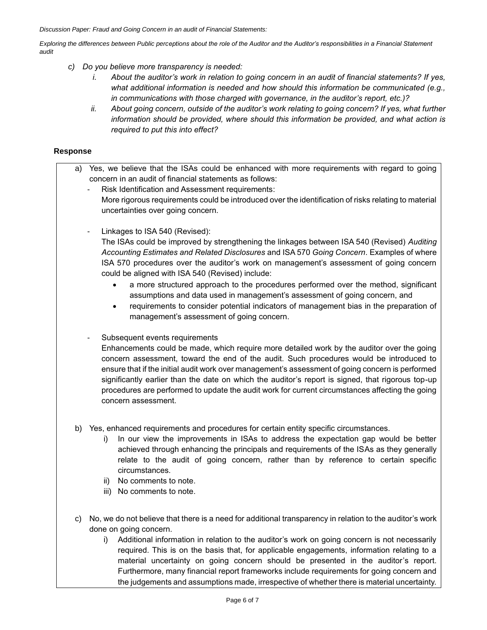*Discussion Paper: Fraud and Going Concern in an audit of Financial Statements:*

*Exploring the differences between Public perceptions about the role of the Auditor and the Auditor's responsibilities in a Financial Statement audit*

- *c) Do you believe more transparency is needed:*
	- *i. About the auditor's work in relation to going concern in an audit of financial statements? If yes, what additional information is needed and how should this information be communicated (e.g., in communications with those charged with governance, in the auditor's report, etc.)?*
	- *ii. About going concern, outside of the auditor's work relating to going concern? If yes, what further information should be provided, where should this information be provided, and what action is required to put this into effect?*

# **Response**

- a) Yes, we believe that the ISAs could be enhanced with more requirements with regard to going concern in an audit of financial statements as follows:
	- Risk Identification and Assessment requirements: More rigorous requirements could be introduced over the identification of risks relating to material uncertainties over going concern.
	- Linkages to ISA 540 (Revised):

The ISAs could be improved by strengthening the linkages between ISA 540 (Revised) *Auditing Accounting Estimates and Related Disclosures* and ISA 570 *Going Concern*. Examples of where ISA 570 procedures over the auditor's work on management's assessment of going concern could be aligned with ISA 540 (Revised) include:

- a more structured approach to the procedures performed over the method, significant assumptions and data used in management's assessment of going concern, and
- requirements to consider potential indicators of management bias in the preparation of management's assessment of going concern.
- Subsequent events requirements

Enhancements could be made, which require more detailed work by the auditor over the going concern assessment, toward the end of the audit. Such procedures would be introduced to ensure that if the initial audit work over management's assessment of going concern is performed significantly earlier than the date on which the auditor's report is signed, that rigorous top-up procedures are performed to update the audit work for current circumstances affecting the going concern assessment.

- b) Yes, enhanced requirements and procedures for certain entity specific circumstances.
	- In our view the improvements in ISAs to address the expectation gap would be better achieved through enhancing the principals and requirements of the ISAs as they generally relate to the audit of going concern, rather than by reference to certain specific circumstances.
	- ii) No comments to note.
	- iii) No comments to note.
- c) No, we do not believe that there is a need for additional transparency in relation to the auditor's work done on going concern.
	- i) Additional information in relation to the auditor's work on going concern is not necessarily required. This is on the basis that, for applicable engagements, information relating to a material uncertainty on going concern should be presented in the auditor's report. Furthermore, many financial report frameworks include requirements for going concern and the judgements and assumptions made, irrespective of whether there is material uncertainty.